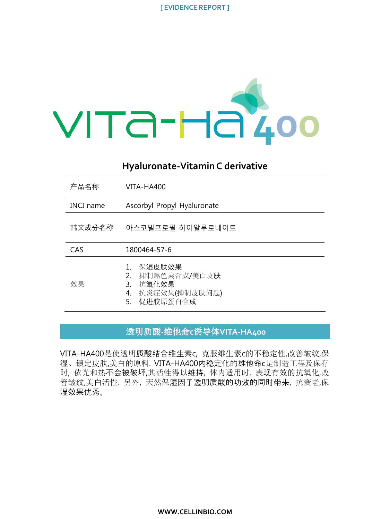

# **Hyaluronate-Vitamin C derivative**

| 产品名称             | VITA-HA400                                                                           |
|------------------|--------------------------------------------------------------------------------------|
| <b>INCI</b> name | Ascorbyl Propyl Hyaluronate                                                          |
| 韩文成分名称           | 아스코빌프로필 하이알루로네이트                                                                     |
| CAS              | 1800464-57-6                                                                         |
| 效果               | 保湿皮肤效果<br>抑制黑色素合成/美白皮肤<br>2.<br>抗氧化效果<br>3.<br>抗炎症效果(抑制皮肤问题)<br>4.<br>促进胶原蛋白合成<br>5. |

# 透明质酸**-**维他命**c**诱导体**VITA-HA400**

VITA-HA400是使透明质酸结合维生素c, 克服维生素c的不稳定性,改善皱纹,保 湿、镇定皮肤,美白的原料. VITA-HA400内稳定化的维他命c是制造工程及保存 时, 依光和热不会被破坏,其活性得以维持, 体内适用时, 表现有效的抗氧化,改 善皱纹,美白活性. 另外, 天然保湿因子透明质酸的功效的同时带来, 抗衰老,保 湿效果优秀。